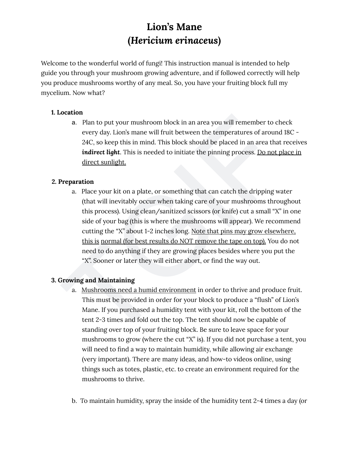Welcome to the wonderful world of fungi! This instruction manual is intended to help guide you through your mushroom growing adventure, and if followed correctly will help you produce mushrooms worthy of any meal. So, you have your fruiting block full my mycelium. Now what?

# **1.** Location

a. Plan to put your mushroom block in an area you will remember to check every day. Lion's mane will fruit between the temperatures of around 18C -24C, so keep this in mind. This block should be placed in an area that receives **indirect light**. This is needed to initiate the pinning process. <u>Do not place in</u> <u>direct sunlight.</u>

# **2. Preparation**

**Example 16 II (Hericium erinaceus)**<br> **(Hericium erinaceus)**<br>
me to the wonderful world of fungil This instruction manual is intended to help<br>
you through your mushroom growing adventure, and if followed correctly will<br> a. Place your kit on a plate, or something that can catch the dripping water (that will inevitably occur when taking care of your mushrooms throughout this process). Using clean/sanitized scissors (or knife) cut a small "X" in one side of your bag (this is where the mushrooms will appear). We recommend cutting the "X" about 1-2 inches long. <u>Note that pins may grow elsewhere,</u> this is normal (for best results do NOT remove the tape on top). You do no t need to do anything if they are growing places besides where you put the "X". Sooner or later they will either abort, or find the way out.

# **3. Growing and Maintaining**

- a. Mushrooms need a humid environment in order to thrive and produce fruit. This must be provided in order for your block to produce a "flush" of Lion's Mane. If you purchased a humidity tent with your kit, roll the bottom of the tent 2-3 times and fold out the top. The tent should now be capable of standing over top of your fruiting block. Be sure to leave space for your mushrooms to grow (where the cut "X" is). If you did not purchase a tent, yo u will need to find a way to maintain humidity, while allowing air exchange (very important). There are many ideas, and how-to videos online, using things such as totes, plastic, etc. to create an environment required for the mushrooms to thrive.
- b. To maintain humidity, spray the inside of the humidity tent 2-4 times a day (or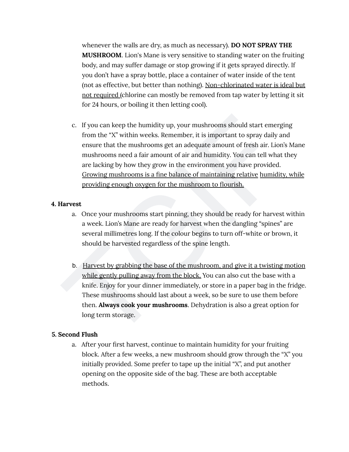whenever the walls are dry, as much as necessary). **DO NOT SPRAY THE MUSHROOM.** Lion's Mane is very sensitive to standing water on the fruiting body, and may suffer damage or stop growing if it gets sprayed directly. If you don't have a spray bottle, place a container of water inside of the tent (not as effective, but better than nothing). <u>Non-chlorinated water is ideal but</u> <u>not required (</u>chlorine can mostly be removed from tap water by letting it sit for 24 hours, or boiling it then letting cool).

Whenever the walls are dry, as much as necessary). **DO NOT SPRAY THI**<br>
MUSHROOM. Lion's More is very sensitive to standing water on the from<br>
body, and may suffer damage or stop growing if it gets sprayed directly,<br>
you do c. If you can keep the humidity up, your mushrooms should start emerging from the "X" within weeks. Remember, it is important to spray daily and ensure that the mushrooms get an adequate amount of fresh air. Lion's Mane mushrooms need a fair amount of air and humidity. You can tell what they are lacking by how they grow in the environment you have provided. Growing mushrooms is a fine balance of maintaining relative humidity, while providing enough oxygen for the mushroom to flourish.

#### **4. Harvest**

- a. Once your mushrooms start pinning, they should be ready for harvest within a week. Lion's Mane are ready for harvest when the dangling "spines" are several millimetres long. If the colour begins to turn off-white or brown, it should be harvested regardless of the spine length.
- b. Harvest by grabbing the base of the mushroom, and give it a twisting motion while gently pulling away from the block. You can also cut the base with a knife. Enjoy for your dinner immediately, or store in a paper bag in the fridge. These mushrooms should last about a week, so be sure to use them before then. **Always cook your mushrooms**. Dehydration is also a great option for long term storage.

### **5. Second Flush**

a. After your first harvest, continue to maintain humidity for your fruiting block. After a few weeks, a new mushroom should grow through the "X" you initially provided. Some prefer to tape up the initial "X", and put another opening on the opposite side of the bag. These are both acceptable methods.